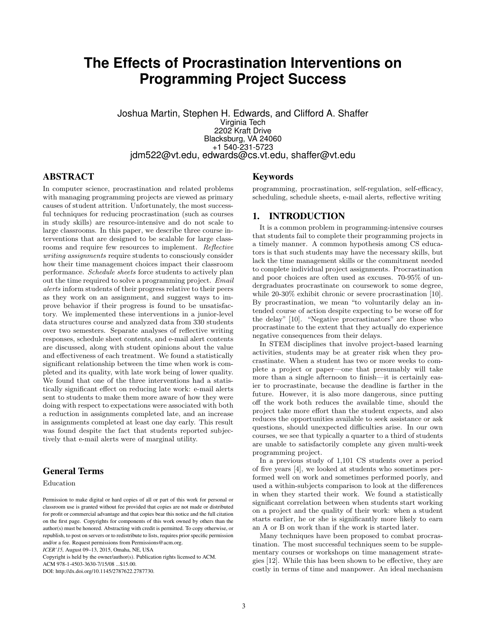# **The Effects of Procrastination Interventions on Programming Project Success**

Joshua Martin, Stephen H. Edwards, and Clifford A. Shaffer Virginia Tech 2202 Kraft Drive Blacksburg, VA 24060 +1 540-231-5723 jdm522@vt.edu, edwards@cs.vt.edu, shaffer@vt.edu

# ABSTRACT

In computer science, procrastination and related problems with managing programming projects are viewed as primary causes of student attrition. Unfortunately, the most successful techniques for reducing procrastination (such as courses in study skills) are resource-intensive and do not scale to large classrooms. In this paper, we describe three course interventions that are designed to be scalable for large classrooms and require few resources to implement. Reflective writing assignments require students to consciously consider how their time management choices impact their classroom performance. Schedule sheets force students to actively plan out the time required to solve a programming project. Email alerts inform students of their progress relative to their peers as they work on an assignment, and suggest ways to improve behavior if their progress is found to be unsatisfactory. We implemented these interventions in a junior-level data structures course and analyzed data from 330 students over two semesters. Separate analyses of reflective writing responses, schedule sheet contents, and e-mail alert contents are discussed, along with student opinions about the value and effectiveness of each treatment. We found a statistically significant relationship between the time when work is completed and its quality, with late work being of lower quality. We found that one of the three interventions had a statistically significant effect on reducing late work: e-mail alerts sent to students to make them more aware of how they were doing with respect to expectations were associated with both a reduction in assignments completed late, and an increase in assignments completed at least one day early. This result was found despite the fact that students reported subjectively that e-mail alerts were of marginal utility.

# General Terms

Education

*ICER'15,* August 09–13, 2015, Omaha, NE, USA

Copyright is held by the owner/author(s). Publication rights licensed to ACM.

ACM 978-1-4503-3630-7/15/08 ...\$15.00.

DOI: http://dx.doi.org/10.1145/2787622.2787730.

#### Keywords

programming, procrastination, self-regulation, self-efficacy, scheduling, schedule sheets, e-mail alerts, reflective writing

# 1. INTRODUCTION

It is a common problem in programming-intensive courses that students fail to complete their programming projects in a timely manner. A common hypothesis among CS educators is that such students may have the necessary skills, but lack the time management skills or the commitment needed to complete individual project assignments. Procrastination and poor choices are often used as excuses. 70-95% of undergraduates procrastinate on coursework to some degree, while 20-30% exhibit chronic or severe procrastination [10]. By procrastination, we mean "to voluntarily delay an intended course of action despite expecting to be worse off for the delay" [10]. "Negative procrastinators" are those who procrastinate to the extent that they actually do experience negative consequences from their delays.

In STEM disciplines that involve project-based learning activities, students may be at greater risk when they procrastinate. When a student has two or more weeks to complete a project or paper—one that presumably will take more than a single afternoon to finish—it is certainly easier to procrastinate, because the deadline is farther in the future. However, it is also more dangerous, since putting off the work both reduces the available time, should the project take more effort than the student expects, and also reduces the opportunities available to seek assistance or ask questions, should unexpected difficulties arise. In our own courses, we see that typically a quarter to a third of students are unable to satisfactorily complete any given multi-week programming project.

In a previous study of 1,101 CS students over a period of five years [4], we looked at students who sometimes performed well on work and sometimes performed poorly, and used a within-subjects comparison to look at the differences in when they started their work. We found a statistically significant correlation between when students start working on a project and the quality of their work: when a student starts earlier, he or she is significantly more likely to earn an A or B on work than if the work is started later.

Many techniques have been proposed to combat procrastination. The most successful techniques seem to be supplementary courses or workshops on time management strategies [12]. While this has been shown to be effective, they are costly in terms of time and manpower. An ideal mechanism

Permission to make digital or hard copies of all or part of this work for personal or classroom use is granted without fee provided that copies are not made or distributed for profit or commercial advantage and that copies bear this notice and the full citation on the first page. Copyrights for components of this work owned by others than the author(s) must be honored. Abstracting with credit is permitted. To copy otherwise, or republish, to post on servers or to redistribute to lists, requires prior specific permission and/or a fee. Request permissions from Permissions@acm.org.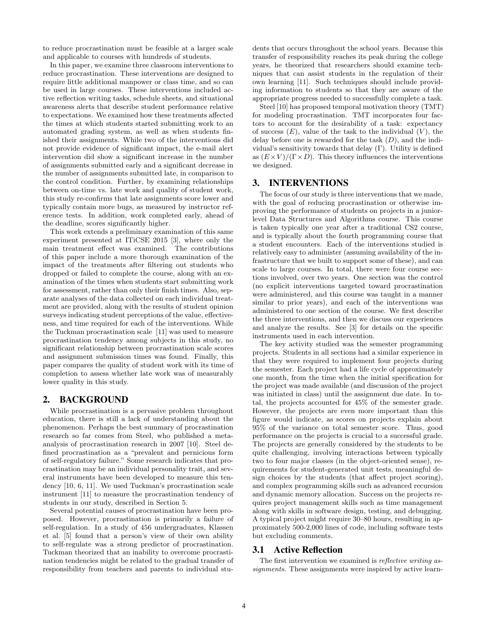to reduce procrastination must be feasible at a larger scale and applicable to courses with hundreds of students.

In this paper, we examine three classroom interventions to reduce procrastination. These interventions are designed to require little additional manpower or class time, and so can be used in large courses. These interventions included active reflection writing tasks, schedule sheets, and situational awareness alerts that describe student performance relative to expectations. We examined how these treatments affected the times at which students started submitting work to an automated grading system, as well as when students finished their assignments. While two of the interventions did not provide evidence of significant impact, the e-mail alert intervention did show a significant increase in the number of assignments submitted early and a significant decrease in the number of assignments submitted late, in comparison to the control condition. Further, by examining relationships between on-time vs. late work and quality of student work, this study re-confirms that late assignments score lower and typically contain more bugs, as measured by instructor reference tests. In addition, work completed early, ahead of the deadline, scores significantly higher.

This work extends a preliminary examination of this same experiment presented at ITiCSE 2015 [3], where only the main treatment effect was examined. The contributions of this paper include a more thorough examination of the impact of the treatments after filtering out students who dropped or failed to complete the course, along with an examination of the times when students start submitting work for assessment, rather than only their finish times. Also, separate analyses of the data collected on each individual treatment are provided, along with the results of student opinion surveys indicating student perceptions of the value, effectiveness, and time required for each of the interventions. While the Tuckman procrastination scale [11] was used to measure procrastination tendency among subjects in this study, no significant relationship between procrastination scale scores and assignment submission times was found. Finally, this paper compares the quality of student work with its time of completion to assess whether late work was of measurably lower quality in this study.

## 2. BACKGROUND

While procrastination is a pervasive problem throughout education, there is still a lack of understanding about the phenomenon. Perhaps the best summary of procrastination research so far comes from Steel, who published a metaanalysis of procrastination research in 2007 [10]. Steel defined procrastination as a "prevalent and pernicious form of self-regulatory failure." Some research indicates that procrastination may be an individual personality trait, and several instruments have been developed to measure this tendency [10, 6, 11]. We used Tuckman's procrastination scale instrument [11] to measure the procrastination tendency of students in our study, described in Section 5.

Several potential causes of procrastination have been proposed. However, procrastination is primarily a failure of self-regulation. In a study of 456 undergraduates, Klassen et al. [5] found that a person's view of their own ability to self-regulate was a strong predictor of procrastination. Tuckman theorized that an inability to overcome procrastination tendencies might be related to the gradual transfer of responsibility from teachers and parents to individual students that occurs throughout the school years. Because this transfer of responsibility reaches its peak during the college years, he theorized that researchers should examine techniques that can assist students in the regulation of their own learning [11]. Such techniques should include providing information to students so that they are aware of the appropriate progress needed to successfully complete a task.

Steel [10] has proposed temporal motivation theory (TMT) for modeling procrastination. TMT incorporates four factors to account for the desirability of a task: expectancy of success  $(E)$ , value of the task to the individual  $(V)$ , the delay before one is rewarded for the task  $(D)$ , and the individual's sensitivity towards that delay  $(Γ)$ . Utility is defined as  $(E \times V)/(\Gamma \times D)$ . This theory influences the interventions we designed.

# 3. INTERVENTIONS

The focus of our study is three interventions that we made, with the goal of reducing procrastination or otherwise improving the performance of students on projects in a juniorlevel Data Structures and Algorithms course. This course is taken typically one year after a traditional CS2 course, and is typically about the fourth programming course that a student encounters. Each of the interventions studied is relatively easy to administer (assuming availability of the infrastructure that we built to support some of these), and can scale to large courses. In total, there were four course sections involved, over two years. One section was the control (no explicit interventions targeted toward procrastination were administered, and this course was taught in a manner similar to prior years), and each of the interventions was administered to one section of the course. We first describe the three interventions, and then we discuss our experiences and analyze the results. See [3] for details on the specific instruments used in each intervention.

The key activity studied was the semester programming projects. Students in all sections had a similar experience in that they were required to implement four projects during the semester. Each project had a life cycle of approximately one month, from the time when the initial specification for the project was made available (and discussion of the project was initiated in class) until the assignment due date. In total, the projects accounted for 45% of the semester grade. However, the projects are even more important than this figure would indicate, as scores on projects explain about 95% of the variance on total semester score. Thus, good performance on the projects is crucial to a successful grade. The projects are generally considered by the students to be quite challenging, involving interactions between typically two to four major classes (in the object-oriented sense), requirements for student-generated unit tests, meaningful design choices by the students (that affect project scoring), and complex programming skills such as advanced recursion and dynamic memory allocation. Success on the projects requires project management skills such as time management along with skills in software design, testing, and debugging. A typical project might require 30–80 hours, resulting in approximately 500-2,000 lines of code, including software tests but excluding comments.

#### 3.1 Active Reflection

The first intervention we examined is reflective writing assignments. These assignments were inspired by active learn-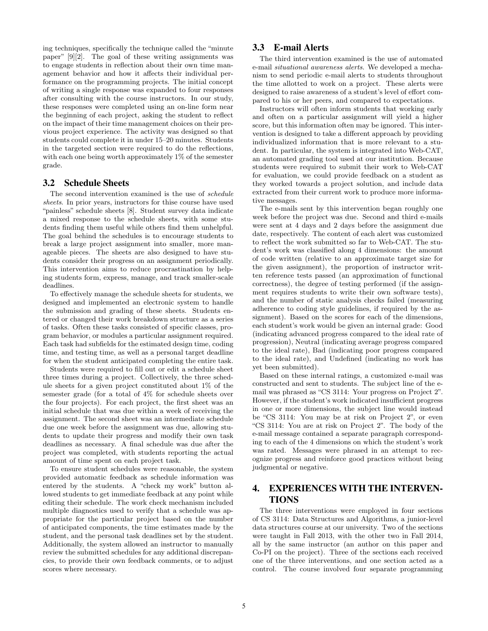ing techniques, specifically the technique called the "minute paper" [9][2]. The goal of these writing assignments was to engage students in reflection about their own time management behavior and how it affects their individual performance on the programming projects. The initial concept of writing a single response was expanded to four responses after consulting with the course instructors. In our study, these responses were completed using an on-line form near the beginning of each project, asking the student to reflect on the impact of their time management choices on their previous project experience. The activity was designed so that students could complete it in under 15–20 minutes. Students in the targeted section were required to do the reflections, with each one being worth approximately 1% of the semester grade.

### 3.2 Schedule Sheets

The second intervention examined is the use of schedule sheets. In prior years, instructors for thise course have used "painless" schedule sheets [8]. Student survey data indicate a mixed response to the schedule sheets, with some students finding them useful while others find them unhelpful. The goal behind the schedules is to encourage students to break a large project assignment into smaller, more manageable pieces. The sheets are also designed to have students consider their progress on an assignment periodically. This intervention aims to reduce procrastination by helping students form, express, manage, and track smaller-scale deadlines.

To effectively manage the schedule sheets for students, we designed and implemented an electronic system to handle the submission and grading of these sheets. Students entered or changed their work breakdown structure as a series of tasks. Often these tasks consisted of specific classes, program behavior, or modules a particular assignment required. Each task had subfields for the estimated design time, coding time, and testing time, as well as a personal target deadline for when the student anticipated completing the entire task.

Students were required to fill out or edit a schedule sheet three times during a project. Collectively, the three schedule sheets for a given project constituted about 1% of the semester grade (for a total of 4% for schedule sheets over the four projects). For each project, the first sheet was an initial schedule that was due within a week of receiving the assignment. The second sheet was an intermediate schedule due one week before the assignment was due, allowing students to update their progress and modify their own task deadlines as necessary. A final schedule was due after the project was completed, with students reporting the actual amount of time spent on each project task.

To ensure student schedules were reasonable, the system provided automatic feedback as schedule information was entered by the students. A "check my work" button allowed students to get immediate feedback at any point while editing their schedule. The work check mechanism included multiple diagnostics used to verify that a schedule was appropriate for the particular project based on the number of anticipated components, the time estimates made by the student, and the personal task deadlines set by the student. Additionally, the system allowed an instructor to manually review the submitted schedules for any additional discrepancies, to provide their own feedback comments, or to adjust scores where necessary.

# 3.3 E-mail Alerts

The third intervention examined is the use of automated e-mail situational awareness alerts. We developed a mechanism to send periodic e-mail alerts to students throughout the time allotted to work on a project. These alerts were designed to raise awareness of a student's level of effort compared to his or her peers, and compared to expectations.

Instructors will often inform students that working early and often on a particular assignment will yield a higher score, but this information often may be ignored. This intervention is designed to take a different approach by providing individualized information that is more relevant to a student. In particular, the system is integrated into Web-CAT, an automated grading tool used at our institution. Because students were required to submit their work to Web-CAT for evaluation, we could provide feedback on a student as they worked towards a project solution, and include data extracted from their current work to produce more informative messages.

The e-mails sent by this intervention began roughly one week before the project was due. Second and third e-mails were sent at 4 days and 2 days before the assignment due date, respectively. The content of each alert was customized to reflect the work submitted so far to Web-CAT. The student's work was classified along 4 dimensions: the amount of code written (relative to an approximate target size for the given assignment), the proportion of instructor written reference tests passed (an approximation of functional correctness), the degree of testing performed (if the assignment requires students to write their own software tests), and the number of static analysis checks failed (measuring adherence to coding style guidelines, if required by the assignment). Based on the scores for each of the dimensions, each student's work would be given an internal grade: Good (indicating advanced progress compared to the ideal rate of progression), Neutral (indicating average progress compared to the ideal rate), Bad (indicating poor progress compared to the ideal rate), and Undefined (indicating no work has yet been submitted).

Based on these internal ratings, a customized e-mail was constructed and sent to students. The subject line of the email was phrased as "CS 3114: Your progress on Project 2". However, if the student's work indicated insufficient progress in one or more dimensions, the subject line would instead be "CS 3114: You may be at risk on Project 2", or even "CS 3114: You are at risk on Project 2". The body of the e-mail message contained a separate paragraph corresponding to each of the 4 dimensions on which the student's work was rated. Messages were phrased in an attempt to recognize progress and reinforce good practices without being judgmental or negative.

# 4. EXPERIENCES WITH THE INTERVEN-TIONS

The three interventions were employed in four sections of CS 3114: Data Structures and Algorithms, a junior-level data structures course at our university. Two of the sections were taught in Fall 2013, with the other two in Fall 2014, all by the same instructor (an author on this paper and Co-PI on the project). Three of the sections each received one of the three interventions, and one section acted as a control. The course involved four separate programming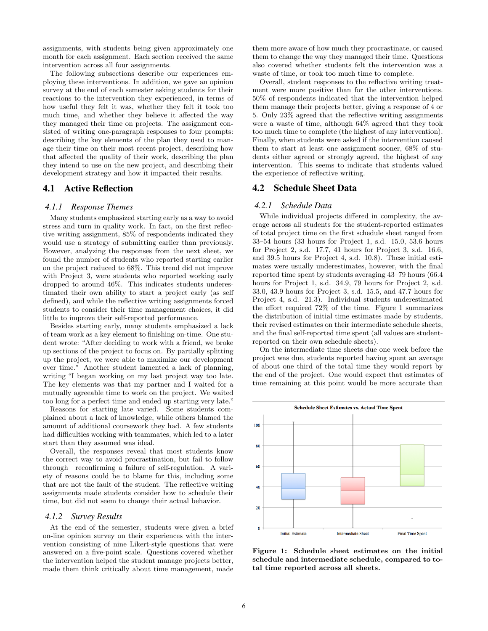assignments, with students being given approximately one month for each assignment. Each section received the same intervention across all four assignments.

The following subsections describe our experiences employing these interventions. In addition, we gave an opinion survey at the end of each semester asking students for their reactions to the intervention they experienced, in terms of how useful they felt it was, whether they felt it took too much time, and whether they believe it affected the way they managed their time on projects. The assignment consisted of writing one-paragraph responses to four prompts: describing the key elements of the plan they used to manage their time on their most recent project, describing how that affected the quality of their work, describing the plan they intend to use on the new project, and describing their development strategy and how it impacted their results.

## 4.1 Active Reflection

#### *4.1.1 Response Themes*

Many students emphasized starting early as a way to avoid stress and turn in quality work. In fact, on the first reflective writing assignment, 85% of respondents indicated they would use a strategy of submitting earlier than previously. However, analyzing the responses from the next sheet, we found the number of students who reported starting earlier on the project reduced to 68%. This trend did not improve with Project 3, were students who reported working early dropped to around 46%. This indicates students underestimated their own ability to start a project early (as self defined), and while the reflective writing assignments forced students to consider their time management choices, it did little to improve their self-reported performance.

Besides starting early, many students emphasized a lack of team work as a key element to finishing on-time. One student wrote: "After deciding to work with a friend, we broke up sections of the project to focus on. By partially splitting up the project, we were able to maximize our development over time." Another student lamented a lack of planning, writing "I began working on my last project way too late. The key elements was that my partner and I waited for a mutually agreeable time to work on the project. We waited too long for a perfect time and ended up starting very late."

Reasons for starting late varied. Some students complained about a lack of knowledge, while others blamed the amount of additional coursework they had. A few students had difficulties working with teammates, which led to a later start than they assumed was ideal.

Overall, the responses reveal that most students know the correct way to avoid procrastination, but fail to follow through—reconfirming a failure of self-regulation. A variety of reasons could be to blame for this, including some that are not the fault of the student. The reflective writing assignments made students consider how to schedule their time, but did not seem to change their actual behavior.

#### *4.1.2 Survey Results*

At the end of the semester, students were given a brief on-line opinion survey on their experiences with the intervention consisting of nine Likert-style questions that were answered on a five-point scale. Questions covered whether the intervention helped the student manage projects better, made them think critically about time management, made

them more aware of how much they procrastinate, or caused them to change the way they managed their time. Questions also covered whether students felt the intervention was a waste of time, or took too much time to complete.

Overall, student responses to the reflective writing treatment were more positive than for the other interventions. 50% of respondents indicated that the intervention helped them manage their projects better, giving a response of 4 or 5. Only 23% agreed that the reflective writing assignments were a waste of time, although 64% agreed that they took too much time to complete (the highest of any intervention). Finally, when students were asked if the intervention caused them to start at least one assignment sooner, 68% of students either agreed or strongly agreed, the highest of any intervention. This seems to indicate that students valued the experience of reflective writing.

# 4.2 Schedule Sheet Data

#### *4.2.1 Schedule Data*

While individual projects differed in complexity, the average across all students for the student-reported estimates of total project time on the first schedule sheet ranged from 33–54 hours (33 hours for Project 1, s.d. 15.0, 53.6 hours for Project 2, s.d. 17.7, 41 hours for Project 3, s.d. 16.6, and 39.5 hours for Project 4, s.d. 10.8). These initial estimates were usually underestimates, however, with the final reported time spent by students averaging 43–79 hours (66.4 hours for Project 1, s.d. 34.9, 79 hours for Project 2, s.d. 33.0, 43.9 hours for Project 3, s.d. 15.5, and 47.7 hours for Project 4, s.d. 21.3). Individual students underestimated the effort required 72% of the time. Figure 1 summarizes the distribution of initial time estimates made by students, their revised estimates on their intermediate schedule sheets, and the final self-reported time spent (all values are studentreported on their own schedule sheets).

On the intermediate time sheets due one week before the project was due, students reported having spent an average of about one third of the total time they would report by the end of the project. One would expect that estimates of time remaining at this point would be more accurate than



Figure 1: Schedule sheet estimates on the initial schedule and intermediate schedule, compared to total time reported across all sheets.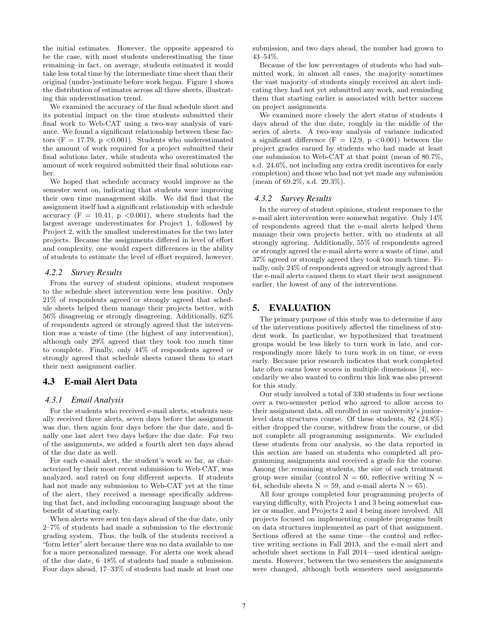the initial estimates. However, the opposite appeared to be the case, with most students underestimating the time remaining–in fact, on average, students estimated it would take less total time by the intermediate time sheet than their original (under-)estimate before work began. Figure 1 shows the distribution of estimates across all three sheets, illustrating this underestimation trend.

We examined the accuracy of the final schedule sheet and its potential impact on the time students submitted their final work to Web-CAT using a two-way analysis of variance. We found a significant relationship between these factors (F = 17.79, p < 0.001). Students who underestimated the amount of work required for a project submitted their final solutions later, while students who overestimated the amount of work required submitted their final solutions earlier.

We hoped that schedule accuracy would improve as the semester went on, indicating that students were improving their own time management skills. We did find that the assignment itself had a significant relationship with schedule accuracy (F = 10.41, p <0.001), where students had the largest average underestimates for Project 1, followed by Project 2, with the smallest underestimates for the two later projects. Because the assignments differed in level of effort and complexity, one would expect differences in the ability of students to estimate the level of effort required, however.

#### *4.2.2 Survey Results*

From the survey of student opinions, student responses to the schedule sheet intervention were less positive. Only 21% of respondents agreed or strongly agreed that schedule sheets helped them manage their projects better, with 56% disagreeing or strongly disagreeing. Additionally, 62% of respondents agreed or strongly agreed that the intervention was a waste of time (the highest of any intervention), although only 29% agreed that they took too much time to complete. Finally, only 44% of respondents agreed or strongly agreed that schedule sheets caused them to start their next assignment earlier.

## 4.3 E-mail Alert Data

#### *4.3.1 Email Analysis*

For the students who received e-mail alerts, students usually received three alerts, seven days before the assignment was due, then again four days before the due date, and finally one last alert two days before the due date. For two of the assignments, we added a fourth alert ten days ahead of the due date as well.

For each e-mail alert, the student's work so far, as characterized by their most recent submission to Web-CAT, was analyzed, and rated on four different aspects. If students had not made any submission to Web-CAT yet at the time of the alert, they received a message specifically addressing that fact, and including encouraging language about the benefit of starting early.

When alerts were sent ten days ahead of the due date, only 2–7% of students had made a submission to the electronic grading system. Thus, the bulk of the students received a "form letter" alert because there was no data available to use for a more personalized message. For alerts one week ahead of the due date, 6–18% of students had made a submission. Four days ahead, 17–33% of students had made at least one submission, and two days ahead, the number had grown to 43–54%.

Because of the low percentages of students who had submitted work, in almost all cases, the majority–sometimes the vast majority–of students simply received an alert indicating they had not yet submitted any work, and reminding them that starting earlier is associated with better success on project assignments.

We examined more closely the alert status of students 4 days ahead of the due date, roughly in the middle of the series of alerts. A two-way analysis of variance indicated a significant difference (F = 12.9, p <0.001) between the project grades earned by students who had made at least one submission to Web-CAT at that point (mean of 80.7%, s.d. 24.6%, not including any extra credit incentives for early completion) and those who had not yet made any submission (mean of 69.2%, s.d. 29.3%).

#### *4.3.2 Survey Results*

In the survey of student opinions, student responses to the e-mail alert intervention were somewhat negative. Only 14% of respondents agreed that the e-mail alerts helped them manage their own projects better, with no students at all strongly agreeing. Additionally, 55% of respondents agreed or strongly agreed the e-mail alerts were a waste of time, and 37% agreed or strongly agreed they took too much time. Finally, only 24% of respondents agreed or strongly agreed that the e-mail alerts caused them to start their next assignment earlier, the lowest of any of the interventions.

### 5. EVALUATION

The primary purpose of this study was to determine if any of the interventions positively affected the timeliness of student work. In particular, we hypothesized that treatment groups would be less likely to turn work in late, and correspondingly more likely to turn work in on time, or even early. Because prior research indicates that work completed late often earns lower scores in multiple dimensions [4], secondarily we also wanted to confirm this link was also present for this study.

Our study involved a total of 330 students in four sections over a two-semester period who agreed to allow access to their assignment data, all enrolled in our university's juniorlevel data structures course. Of these students, 82 (24.8%) either dropped the course, withdrew from the course, or did not complete all programming assignments. We excluded these students from our analysis, so the data reported in this section are based on students who completed all programming assignments and received a grade for the course. Among the remaining students, the size of each treatment group were similar (control  $N = 60$ , reflective writing  $N =$ 64, schedule sheets  $N = 59$ , and e-mail alerts  $N = 65$ ).

All four groups completed four programming projects of varying difficulty, with Projects 1 and 3 being somewhat easier or smaller, and Projects 2 and 4 being more involved. All projects focused on implementing complete programs built on data structures implemented as part of that assignment. Sections offered at the same time—the control and reflective writing sections in Fall 2013, and the e-mail alert and schedule sheet sections in Fall 2014—used identical assignments. However, between the two semesters the assignments were changed, although both semesters used assignments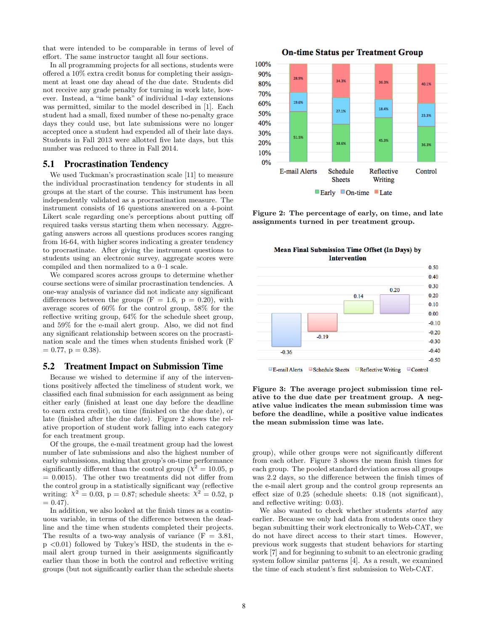that were intended to be comparable in terms of level of effort. The same instructor taught all four sections.

In all programming projects for all sections, students were offered a 10% extra credit bonus for completing their assignment at least one day ahead of the due date. Students did not receive any grade penalty for turning in work late, however. Instead, a "time bank" of individual 1-day extensions was permitted, similar to the model described in [1]. Each student had a small, fixed number of these no-penalty grace days they could use, but late submissions were no longer accepted once a student had expended all of their late days. Students in Fall 2013 were allotted five late days, but this number was reduced to three in Fall 2014.

## 5.1 Procrastination Tendency

We used Tuckman's procrastination scale [11] to measure the individual procrastination tendency for students in all groups at the start of the course. This instrument has been independently validated as a procrastination measure. The instrument consists of 16 questions answered on a 4-point Likert scale regarding one's perceptions about putting off required tasks versus starting them when necessary. Aggregating answers across all questions produces scores ranging from 16-64, with higher scores indicating a greater tendency to procrastinate. After giving the instrument questions to students using an electronic survey, aggregate scores were compiled and then normalized to a 0–1 scale.

We compared scores across groups to determine whether course sections were of similar procrastination tendencies. A one-way analysis of variance did not indicate any significant differences between the groups  $(F = 1.6, p = 0.20)$ , with average scores of 60% for the control group, 58% for the reflective writing group, 64% for the schedule sheet group, and 59% for the e-mail alert group. Also, we did not find any significant relationship between scores on the procrastination scale and the times when students finished work (F  $= 0.77, p = 0.38$ .

## 5.2 Treatment Impact on Submission Time

Because we wished to determine if any of the interventions positively affected the timeliness of student work, we classified each final submission for each assignment as being either early (finished at least one day before the deadline to earn extra credit), on time (finished on the due date), or late (finished after the due date). Figure 2 shows the relative proportion of student work falling into each category for each treatment group.

Of the groups, the e-mail treatment group had the lowest number of late submissions and also the highest number of early submissions, making that group's on-time performance significantly different than the control group ( $\chi^2 = 10.05$ , p  $= 0.0015$ . The other two treatments did not differ from the control group in a statistically significant way (reflective writing:  $\chi^2 = 0.03$ , p = 0.87; schedule sheets:  $\chi^2 = 0.52$ , p  $= 0.47.$ 

In addition, we also looked at the finish times as a continuous variable, in terms of the difference between the deadline and the time when students completed their projects. The results of a two-way analysis of variance  $(F = 3.81,$  $p \leq 0.01$ ) followed by Tukey's HSD, the students in the email alert group turned in their assignments significantly earlier than those in both the control and reflective writing groups (but not significantly earlier than the schedule sheets



Figure 2: The percentage of early, on time, and late assignments turned in per treatment group.

Mean Final Submission Time Offset (In Days) by **Intervention** 



Figure 3: The average project submission time relative to the due date per treatment group. A negative value indicates the mean submission time was before the deadline, while a positive value indicates the mean submission time was late.

group), while other groups were not significantly different from each other. Figure 3 shows the mean finish times for each group. The pooled standard deviation across all groups was 2.2 days, so the difference between the finish times of the e-mail alert group and the control group represents an effect size of 0.25 (schedule sheets: 0.18 (not significant), and reflective writing: 0.03).

We also wanted to check whether students *started* any earlier. Because we only had data from students once they began submitting their work electronically to Web-CAT, we do not have direct access to their start times. However, previous work suggests that student behaviors for starting work [7] and for beginning to submit to an electronic grading system follow similar patterns [4]. As a result, we examined the time of each student's first submission to Web-CAT.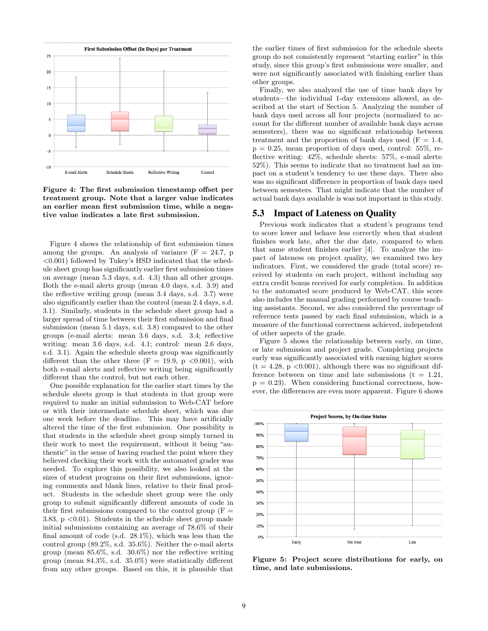

Figure 4: The first submission timestamp offset per treatment group. Note that a larger value indicates an earlier mean first submission time, while a negative value indicates a late first submission.

Figure 4 shows the relationship of first submission times among the groups. An analysis of variance  $(F = 24.7, p$ <0.001) followed by Tukey's HSD indicated that the schedule sheet group has significantly earlier first submission times on average (mean 5.3 days, s.d. 4.3) than all other groups. Both the e-mail alerts group (mean 4.0 days, s.d. 3.9) and the reflective writing group (mean 3.4 days, s.d. 3.7) were also significantly earlier than the control (mean 2.4 days, s.d. 3.1). Similarly, students in the schedule sheet group had a larger spread of time between their first submission and final submission (mean 5.1 days, s.d. 3.8) compared to the other groups (e-mail alerts: mean 3.6 days, s.d. 3.4; reflective writing: mean 3.6 days, s.d. 4.1; control: mean 2.6 days, s.d. 3.1). Again the schedule sheets group was significantly different than the other three  $(F = 19.9, p < 0.001)$ , with both e-mail alerts and reflective writing being significantly different than the control, but not each other.

One possible explanation for the earlier start times by the schedule sheets group is that students in that group were required to make an initial submission to Web-CAT before or with their intermediate schedule sheet, which was due one week before the deadline. This may have artificially altered the time of the first submission. One possibility is that students in the schedule sheet group simply turned in their work to meet the requirement, without it being "authentic" in the sense of having reached the point where they believed checking their work with the automated grader was needed. To explore this possibility, we also looked at the sizes of student programs on their first submissions, ignoring comments and blank lines, relative to their final product. Students in the schedule sheet group were the only group to submit significantly different amounts of code in their first submissions compared to the control group  $(F =$ 3.83,  $p \leq 0.01$ . Students in the schedule sheet group made initial submissions containing an average of 78.6% of their final amount of code (s.d. 28.1%), which was less than the control group (89.2%, s.d. 35.6%). Neither the e-mail alerts group (mean 85.6%, s.d. 30.6%) nor the reflective writing group (mean 84.3%, s.d. 35.0%) were statistically different from any other groups. Based on this, it is plausible that

the earlier times of first submission for the schedule sheets group do not consistently represent "starting earlier" in this study, since this group's first submissions were smaller, and were not significantly associated with finishing earlier than other groups.

Finally, we also analyzed the use of time bank days by students—the individual 1-day extensions allowed, as described at the start of Section 5. Analyzing the number of bank days used across all four projects (normalized to account for the different number of available bank days across semesters), there was no significant relationship between treatment and the proportion of bank days used  $(F = 1.4,$  $p = 0.25$ , mean proportion of days used, control: 55%, reflective writing: 42%, schedule sheets: 57%, e-mail alerts: 52%). This seems to indicate that no treatment had an impact on a student's tendency to use these days. There also was no significant difference in proportion of bank days used between semesters. That might indicate that the number of actual bank days available is was not important in this study.

## 5.3 Impact of Lateness on Quality

Previous work indicates that a student's programs tend to score lower and behave less correctly when that student finishes work late, after the due date, compared to when that same student finishes earlier [4]. To analyze the impact of lateness on project quality, we examined two key indicators. First, we considered the grade (total score) received by students on each project, without including any extra credit bonus received for early completion. In addition to the automated score produced by Web-CAT, this score also includes the manual grading performed by course teaching assistants. Second, we also considered the percentage of reference tests passed by each final submission, which is a measure of the functional correctness achieved, independent of other aspects of the grade.

Figure 5 shows the relationship between early, on time, or late submission and project grade. Completing projects early was significantly associated with earning higher scores  $(t = 4.28, p < 0.001)$ , although there was no significant difference between on time and late submissions  $(t = 1.21$ ,  $p = 0.23$ . When considering functional correctness, however, the differences are even more apparent. Figure 6 shows



Figure 5: Project score distributions for early, on time, and late submissions.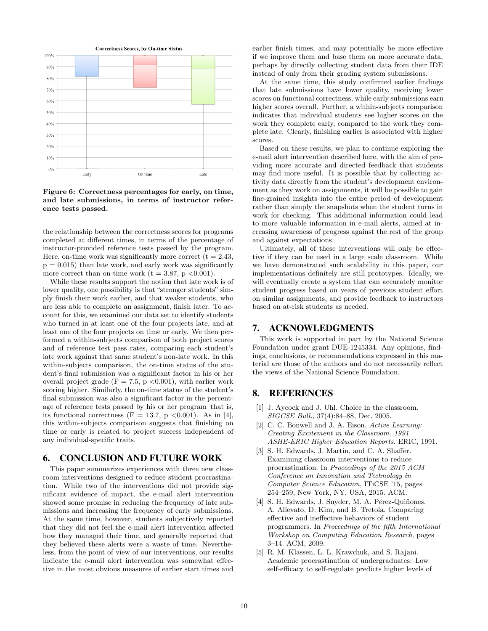

Figure 6: Correctness percentages for early, on time, and late submissions, in terms of instructor reference tests passed.

the relationship between the correctness scores for programs completed at different times, in terms of the percentage of instructor-provided reference tests passed by the program. Here, on-time work was significantly more correct  $(t = 2.43,$  $p = 0.015$  than late work, and early work was significantly more correct than on-time work ( $t = 3.87$ ,  $p \le 0.001$ ).

While these results support the notion that late work is of lower quality, one possibility is that "stronger students" simply finish their work earlier, and that weaker students, who are less able to complete an assignment, finish later. To account for this, we examined our data set to identify students who turned in at least one of the four projects late, and at least one of the four projects on time or early. We then performed a within-subjects comparison of both project scores and of reference test pass rates, comparing each student's late work against that same student's non-late work. In this within-subjects comparison, the on-time status of the student's final submission was a significant factor in his or her overall project grade ( $F = 7.5$ , p <0.001), with earlier work scoring higher. Similarly, the on-time status of the student's final submission was also a significant factor in the percentage of reference tests passed by his or her program–that is, its functional correctness (F = 13.7, p < 0.001). As in [4], this within-subjects comparison suggests that finishing on time or early is related to project success independent of any individual-specific traits.

# 6. CONCLUSION AND FUTURE WORK

This paper summarizes experiences with three new classroom interventions designed to reduce student procrastination. While two of the interventions did not provide significant evidence of impact, the e-mail alert intervention showed some promise in reducing the frequency of late submissions and increasing the frequency of early submissions. At the same time, however, students subjectively reported that they did not feel the e-mail alert intervention affected how they managed their time, and generally reported that they believed these alerts were a waste of time. Nevertheless, from the point of view of our interventions, our results indicate the e-mail alert intervention was somewhat effective in the most obvious measures of earlier start times and

earlier finish times, and may potentially be more effective if we improve them and base them on more accurate data, perhaps by directly collecting student data from their IDE instead of only from their grading system submissions.

At the same time, this study confirmed earlier findings that late submissions have lower quality, receiving lower scores on functional correctness, while early submissions earn higher scores overall. Further, a within-subjects comparison indicates that individual students see higher scores on the work they complete early, compared to the work they complete late. Clearly, finishing earlier is associated with higher scores.

Based on these results, we plan to continue exploring the e-mail alert intervention described here, with the aim of providing more accurate and directed feedback that students may find more useful. It is possible that by collecting activity data directly from the student's development environment as they work on assignments, it will be possible to gain fine-grained insights into the entire period of development rather than simply the snapshots when the student turns in work for checking. This additional information could lead to more valuable information in e-mail alerts, aimed at increasing awareness of progress against the rest of the group and against expectations.

Ultimately, all of these interventions will only be effective if they can be used in a large scale classroom. While we have demonstrated such scalability in this paper, our implementations definitely are still prototypes. Ideally, we will eventually create a system that can accurately monitor student progress based on years of previous student effort on similar assignments, and provide feedback to instructors based on at-risk students as needed.

# 7. ACKNOWLEDGMENTS

This work is supported in part by the National Science Foundation under grant DUE-1245334. Any opinions, findings, conclusions, or recommendations expressed in this material are those of the authors and do not necessarily reflect the views of the National Science Foundation.

# 8. REFERENCES

- [1] J. Aycock and J. Uhl. Choice in the classroom. SIGCSE Bull., 37(4):84–88, Dec. 2005.
- [2] C. C. Bonwell and J. A. Eison. Active Learning: Creating Excitement in the Classroom. 1991 ASHE-ERIC Higher Education Reports. ERIC, 1991.
- [3] S. H. Edwards, J. Martin, and C. A. Shaffer. Examining classroom interventions to reduce procrastination. In Proceedings of the 2015 ACM Conference on Innovation and Technology in Computer Science Education, ITiCSE '15, pages 254–259, New York, NY, USA, 2015. ACM.
- [4] S. H. Edwards, J. Snyder, M. A. Pérez-Quiñones, A. Allevato, D. Kim, and B. Tretola. Comparing effective and ineffective behaviors of student programmers. In Proceedings of the fifth International Workshop on Computing Education Research, pages 3–14. ACM, 2009.
- [5] R. M. Klassen, L. L. Krawchuk, and S. Rajani. Academic procrastination of undergraduates: Low self-efficacy to self-regulate predicts higher levels of